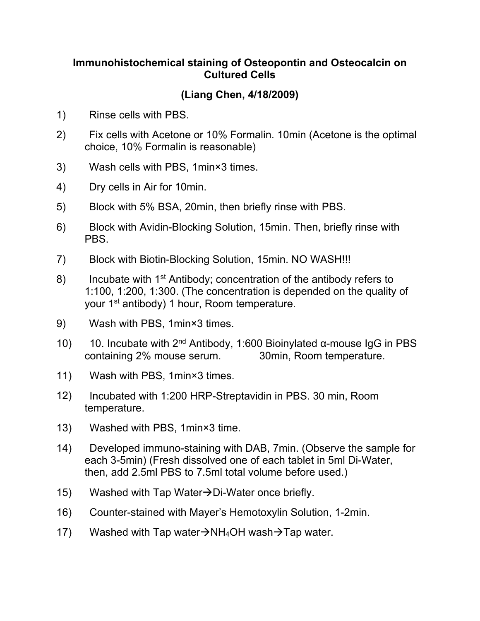## **Immunohistochemical staining of Osteopontin and Osteocalcin on Cultured Cells**

## **(Liang Chen, 4/18/2009)**

- 1) Rinse cells with PBS.
- 2) Fix cells with Acetone or 10% Formalin. 10min (Acetone is the optimal choice, 10% Formalin is reasonable)
- 3) Wash cells with PBS, 1min×3 times.
- 4) Dry cells in Air for 10min.
- 5) Block with 5% BSA, 20min, then briefly rinse with PBS.
- 6) Block with Avidin-Blocking Solution, 15min. Then, briefly rinse with PBS.
- 7) Block with Biotin-Blocking Solution, 15min. NO WASH!!!
- 8) Incubate with 1<sup>st</sup> Antibody; concentration of the antibody refers to 1:100, 1:200, 1:300. (The concentration is depended on the quality of your 1<sup>st</sup> antibody) 1 hour, Room temperature.
- 9) Wash with PBS, 1min×3 times.
- 10) 10. Incubate with  $2<sup>nd</sup>$  Antibody, 1:600 Bioinylated α-mouse IgG in PBS containing 2% mouse serum. 30min, Room temperature.
- 11) Wash with PBS, 1min×3 times.
- 12) Incubated with 1:200 HRP-Streptavidin in PBS. 30 min, Room temperature.
- 13) Washed with PBS, 1min×3 time.
- 14) Developed immuno-staining with DAB, 7min. (Observe the sample for each 3-5min) (Fresh dissolved one of each tablet in 5ml Di-Water, then, add 2.5ml PBS to 7.5ml total volume before used.)
- 15) Washed with Tap Water $\rightarrow$ Di-Water once briefly.
- 16) Counter-stained with Mayer's Hemotoxylin Solution, 1-2min.
- 17) Washed with Tap water $\rightarrow$ NH<sub>4</sub>OH wash $\rightarrow$ Tap water.